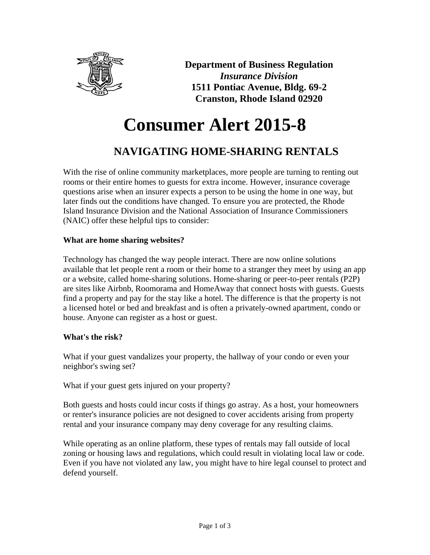

**Department of Business Regulation** *Insurance Division* **1511 Pontiac Avenue, Bldg. 69-2 Cranston, Rhode Island 02920**

# **Consumer Alert 2015-8**

# **NAVIGATING HOME-SHARING RENTALS**

With the rise of online community marketplaces, more people are turning to renting out rooms or their entire homes to guests for extra income. However, insurance coverage questions arise when an insurer expects a person to be using the home in one way, but later finds out the conditions have changed. To ensure you are protected, the Rhode Island Insurance Division and the National Association of Insurance Commissioners (NAIC) offer these helpful tips to consider:

# **What are home sharing websites?**

Technology has changed the way people interact. There are now online solutions available that let people rent a room or their home to a stranger they meet by using an app or a website, called home-sharing solutions. Home-sharing or peer-to-peer rentals (P2P) are sites like Airbnb, Roomorama and HomeAway that connect hosts with guests. Guests find a property and pay for the stay like a hotel. The difference is that the property is not a licensed hotel or bed and breakfast and is often a privately-owned apartment, condo or house. Anyone can register as a host or guest.

# **What's the risk?**

What if your guest vandalizes your property, the hallway of your condo or even your neighbor's swing set?

What if your guest gets injured on your property?

Both guests and hosts could incur costs if things go astray. As a host, your homeowners or renter's insurance policies are not designed to cover accidents arising from property rental and your insurance company may deny coverage for any resulting claims.

While operating as an online platform, these types of rentals may fall outside of local zoning or housing laws and regulations, which could result in violating local law or code. Even if you have not violated any law, you might have to hire legal counsel to protect and defend yourself.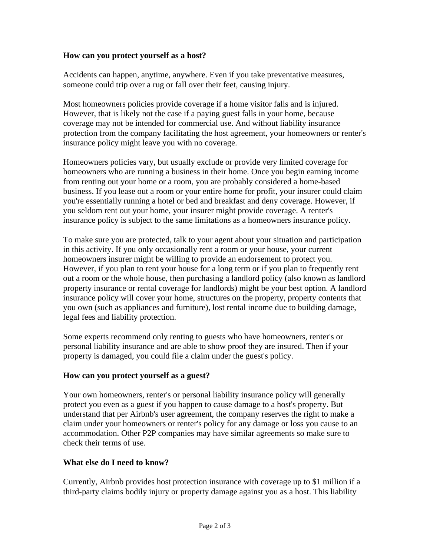### **How can you protect yourself as a host?**

Accidents can happen, anytime, anywhere. Even if you take preventative measures, someone could trip over a rug or fall over their feet, causing injury.

Most homeowners policies provide coverage if a home visitor falls and is injured. However, that is likely not the case if a paying guest falls in your home, because coverage may not be intended for commercial use. And without liability insurance protection from the company facilitating the host agreement, your homeowners or renter's insurance policy might leave you with no coverage.

Homeowners policies vary, but usually exclude or provide very limited coverage for homeowners who are running a business in their home. Once you begin earning income from renting out your home or a room, you are probably considered a home-based business. If you lease out a room or your entire home for profit, your insurer could claim you're essentially running a hotel or bed and breakfast and deny coverage. However, if you seldom rent out your home, your insurer might provide coverage. A renter's insurance policy is subject to the same limitations as a homeowners insurance policy.

To make sure you are protected, talk to your agent about your situation and participation in this activity. If you only occasionally rent a room or your house, your current homeowners insurer might be willing to provide an endorsement to protect you. However, if you plan to rent your house for a long term or if you plan to frequently rent out a room or the whole house, then purchasing a landlord policy (also known as landlord property insurance or rental coverage for landlords) might be your best option. A landlord insurance policy will cover your home, structures on the property, property contents that you own (such as appliances and furniture), lost rental income due to building damage, legal fees and liability protection.

Some experts recommend only renting to guests who have homeowners, renter's or personal liability insurance and are able to show proof they are insured. Then if your property is damaged, you could file a claim under the guest's policy.

#### **How can you protect yourself as a guest?**

Your own homeowners, renter's or personal liability insurance policy will generally protect you even as a guest if you happen to cause damage to a host's property. But understand that per Airbnb's user agreement, the company reserves the right to make a claim under your homeowners or renter's policy for any damage or loss you cause to an accommodation. Other P2P companies may have similar agreements so make sure to check their terms of use.

#### **What else do I need to know?**

Currently, Airbnb provides host protection insurance with coverage up to \$1 million if a third-party claims bodily injury or property damage against you as a host. This liability